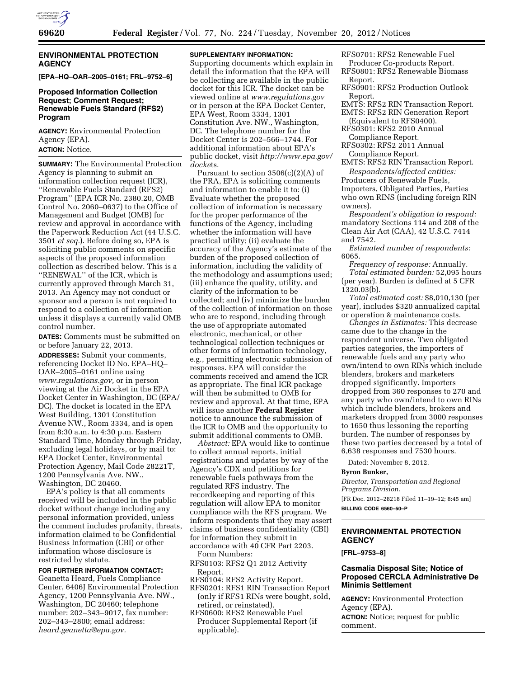

## **ENVIRONMENTAL PROTECTION AGENCY**

**[EPA–HQ–OAR–2005–0161; FRL–9752–6]** 

### **Proposed Information Collection Request; Comment Request; Renewable Fuels Standard (RFS2) Program**

**AGENCY:** Environmental Protection Agency (EPA).

**ACTION:** Notice.

**SUMMARY:** The Environmental Protection Agency is planning to submit an information collection request (ICR), ''Renewable Fuels Standard (RFS2) Program'' (EPA ICR No. 2380.20, OMB Control No. 2060–0637) to the Office of Management and Budget (OMB) for review and approval in accordance with the Paperwork Reduction Act (44 U.S.C. 3501 *et seq.*). Before doing so, EPA is soliciting public comments on specific aspects of the proposed information collection as described below. This is a ''RENEWAL'' of the ICR, which is currently approved through March 31, 2013. An Agency may not conduct or sponsor and a person is not required to respond to a collection of information unless it displays a currently valid OMB control number.

**DATES:** Comments must be submitted on or before January 22, 2013.

**ADDRESSES:** Submit your comments, referencing Docket ID No. EPA–HQ– OAR–2005–0161 online using *[www.regulations.gov,](http://www.regulations.gov)* or in person viewing at the Air Docket in the EPA Docket Center in Washington, DC (EPA/ DC). The docket is located in the EPA West Building, 1301 Constitution Avenue NW., Room 3334, and is open from 8:30 a.m. to 4:30 p.m. Eastern Standard Time, Monday through Friday, excluding legal holidays, or by mail to: EPA Docket Center, Environmental Protection Agency, Mail Code 28221T, 1200 Pennsylvania Ave. NW., Washington, DC 20460.

EPA's policy is that all comments received will be included in the public docket without change including any personal information provided, unless the comment includes profanity, threats, information claimed to be Confidential Business Information (CBI) or other information whose disclosure is restricted by statute.

**FOR FURTHER INFORMATION CONTACT:** 

Geanetta Heard, Fuels Compliance Center, 6406J Environmental Protection Agency, 1200 Pennsylvania Ave. NW., Washington, DC 20460; telephone number: 202–343–9017, fax number: 202–343–2800; email address: *[heard.geanetta@epa.gov.](mailto:heard.geanetta@epa.gov)* 

# **SUPPLEMENTARY INFORMATION:**

Supporting documents which explain in detail the information that the EPA will be collecting are available in the public docket for this ICR. The docket can be viewed online at *[www.regulations.gov](http://www.regulations.gov)*  or in person at the EPA Docket Center, EPA West, Room 3334, 1301 Constitution Ave. NW., Washington, DC. The telephone number for the Docket Center is 202–566–1744. For additional information about EPA's public docket, visit *[http://www.epa.gov/](http://www.epa.gov/dockets)  [docke](http://www.epa.gov/dockets)*ts.

Pursuant to section  $3506(c)(2)(A)$  of the PRA, EPA is soliciting comments and information to enable it to: (i) Evaluate whether the proposed collection of information is necessary for the proper performance of the functions of the Agency, including whether the information will have practical utility; (ii) evaluate the accuracy of the Agency's estimate of the burden of the proposed collection of information, including the validity of the methodology and assumptions used; (iii) enhance the quality, utility, and clarity of the information to be collected; and (iv) minimize the burden of the collection of information on those who are to respond, including through the use of appropriate automated electronic, mechanical, or other technological collection techniques or other forms of information technology, e.g., permitting electronic submission of responses. EPA will consider the comments received and amend the ICR as appropriate. The final ICR package will then be submitted to OMB for review and approval. At that time, EPA will issue another **Federal Register**  notice to announce the submission of the ICR to OMB and the opportunity to submit additional comments to OMB.

*Abstract:* EPA would like to continue to collect annual reports, initial registrations and updates by way of the Agency's CDX and petitions for renewable fuels pathways from the regulated RFS industry. The recordkeeping and reporting of this regulation will allow EPA to monitor compliance with the RFS program. We inform respondents that they may assert claims of business confidentiality (CBI) for information they submit in accordance with 40 CFR Part 2203. Form Numbers:

RFS0103: RFS2 Q1 2012 Activity Report.

- RFS0104: RFS2 Activity Report.
- RFS0201: RFS1 RIN Transaction Report (only if RFS1 RINs were bought, sold, retired, or reinstated).
- RFS0600: RFS2 Renewable Fuel Producer Supplemental Report (if applicable).
- RFS0701: RFS2 Renewable Fuel Producer Co-products Report.
- RFS0801: RFS2 Renewable Biomass Report.
- RFS0901: RFS2 Production Outlook Report.
- EMTS: RFS2 RIN Transaction Report. EMTS: RFS2 RIN Generation Report
- (Equivalent to RFS0400). RFS0301: RFS2 2010 Annual
- Compliance Report.
- RFS0302: RFS2 2011 Annual Compliance Report.

EMTS: RFS2 RIN Transaction Report.

*Respondents/affected entities:*  Producers of Renewable Fuels, Importers, Obligated Parties, Parties who own RINS (including foreign RIN owners).

*Respondent's obligation to respond:*  mandatory Sections 114 and 208 of the Clean Air Act (CAA), 42 U.S.C. 7414 and 7542.

*Estimated number of respondents:*  6065.

*Frequency of response:* Annually. *Total estimated burden:* 52,095 hours (per year). Burden is defined at 5 CFR 1320.03(b).

*Total estimated cost:* \$8,010,130 (per year), includes \$320 annualized capital or operation & maintenance costs.

*Changes in Estimates:* This decrease came due to the change in the respondent universe. Two obligated parties categories, the importers of renewable fuels and any party who own/intend to own RINs which include blenders, brokers and marketers dropped significantly. Importers dropped from 360 responses to 270 and any party who own/intend to own RINs which include blenders, brokers and marketers dropped from 3000 responses to 1650 thus lessoning the reporting burden. The number of responses by these two parties decreased by a total of 6,638 responses and 7530 hours.

Dated: November 8, 2012.

#### **Byron Bunker,**

*Director, Transportation and Regional Programs Division.* 

[FR Doc. 2012–28218 Filed 11–19–12; 8:45 am] **BILLING CODE 6560–50–P** 

## **ENVIRONMENTAL PROTECTION AGENCY**

**[FRL–9753–8]** 

### **Casmalia Disposal Site; Notice of Proposed CERCLA Administrative De Minimis Settlement**

**AGENCY:** Environmental Protection Agency (EPA).

**ACTION:** Notice; request for public comment.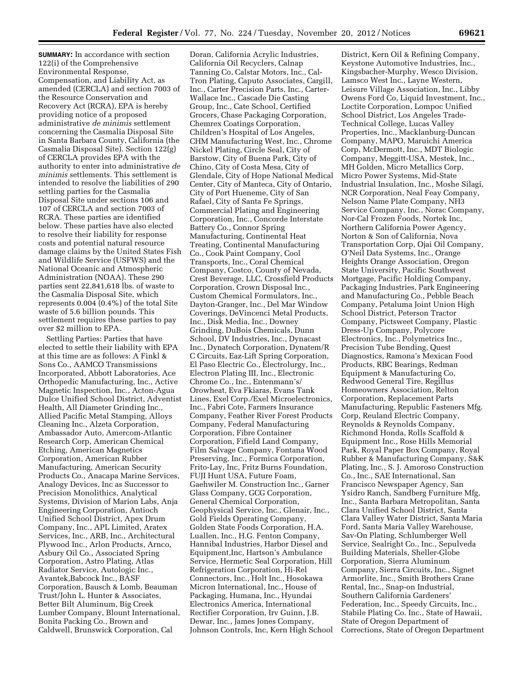**SUMMARY:** In accordance with section 122(i) of the Comprehensive Environmental Response, Compensation, and Liability Act, as amended (CERCLA) and section 7003 of the Resource Conservation and Recovery Act (RCRA), EPA is hereby providing notice of a proposed administrative *de minimis* settlement concerning the Casmalia Disposal Site in Santa Barbara County, California (the Casmalia Disposal Site). Section 122(g) of CERCLA provides EPA with the authority to enter into administrative *de minimis* settlements. This settlement is intended to resolve the liabilities of 290 settling parties for the Casmalia Disposal Site under sections 106 and 107 of CERCLA and section 7003 of RCRA. These parties are identified below. These parties have also elected to resolve their liability for response costs and potential natural resource damage claims by the United States Fish and Wildlife Service (USFWS) and the National Oceanic and Atmospheric Administration (NOAA). These 290 parties sent 22,841,618 lbs. of waste to the Casmalia Disposal Site, which represents 0.004 (0.4%) of the total Site waste of 5.6 billion pounds. This settlement requires these parties to pay over \$2 million to EPA.

Settling Parties: Parties that have elected to settle their liability with EPA at this time are as follows: A Finkl & Sons Co., AAMCO Transmissions Incorporated, Abbott Laboratories, Ace Orthopedic Manufacturing, Inc., Active Magnetic Inspection, Inc., Acton-Agua Dulce Unified School District, Adventist Health, All Diameter Grinding Inc., Allied Pacific Metal Stamping, Alloys Cleaning Inc., Alzeta Corporation, Ambassador Auto, Amercom-Atlantic Research Corp, American Chemical Etching, American Magnetics Corporation, American Rubber Manufacturing, American Security Products Co., Anacapa Marine Services, Analogy Devices, Inc as Successor to Precision Monolithics, Analytical Systems, Division of Marion Labs, Anja Engineering Corporation, Antioch Unified School District, Apex Drum Company, Inc., APL Limited, Aratex Services, Inc., ARB, Inc., Architectural Plywood Inc., Arlon Products, Arnco, Asbury Oil Co., Associated Spring Corporation, Astro Plating, Atlas Radiator Service, Autologic Inc., Avantek,Babcock Inc., BASF Corporation, Bausch & Lomb, Beauman Trust/John L. Hunter & Associates, Better Bilt Aluminum, Big Creek Lumber Company, Blount International, Bonita Packing Co., Brown and Caldwell, Brunswick Corporation, Cal

Doran, California Acrylic Industries, California Oil Recyclers, Calnap Tanning Co, Calstar Motors, Inc., Cal-Tron Plating, Caputo Associates, Cargill, Inc., Carter Precision Parts, Inc., Carter-Wallace Inc., Cascade Die Casting Group, Inc., Cate School, Certified Grocers, Chase Packaging Corporation, Chemrex Coatings Corporation, Children's Hospital of Los Angeles, CHM Manufacturing West, Inc., Chrome Nickel Plating, Circle Seal, City of Barstow, City of Buena Park, City of Chino, City of Costa Mesa, City of Glendale, City of Hope National Medical Center, City of Manteca, City of Ontario, City of Port Hueneme, City of San Rafael, City of Santa Fe Springs, Commercial Plating and Engineering Corporation, Inc., Concorde Interstate Battery Co., Connor Spring Manufacturing, Continental Heat Treating, Continental Manufacturing Co., Cook Paint Company, Cool Transports, Inc., Coral Chemical Company, Costco, County of Nevada, Crest Beverage, LLC, Crossfield Products Corporation, Crown Disposal Inc., Custom Chemical Formulators, Inc., Dayton-Granger, Inc., Del Mar Window Coverings, DeVincenci Metal Products, Inc., Disk Media, Inc., Downey Grinding, DuBois Chemicals, Dunn School, DV Industries, Inc., Dynacast Inc., Dynatech Corporation, Dynatem/R C Circuits, Eaz-Lift Spring Corporation, El Paso Electric Co., Electrolurgy, Inc., Electron Plating III, Inc., Electronic Chrome Co., Inc., Entenmann's/ Orowheat, Eva Fkiaras, Evans Tank Lines, Exel Corp./Exel Microelectronics, Inc., Fabri Cote, Farmers Insurance Company, Feather River Forest Products Company, Federal Manufacturing Corporation, Fibre Container Corporation, Fifield Land Company, Film Salvage Company, Fontana Wood Preserving, Inc., Formica Corporation, Frito-Lay, Inc, Fritz Burns Foundation, FUJI Hunt USA, Future Foam, Gaehwiler M. Construction Inc., Garner Glass Company, GCG Corporation, General Chemical Corporation, Geophysical Service, Inc., Glenair, Inc., Gold Fields Operating Company, Golden State Foods Corporation, H.A. Luallen, Inc., H.G. Fenton Company, Hannibal Industries, Harbor Diesel and Equipment,Inc, Hartson's Ambulance Service, Hermetic Seal Corporation, Hill Refrigeration Corporation, Hi-Rel Connectors, Inc., Holt Inc., Hosokawa Micron International, Inc., House of Packaging, Humana, Inc., Hyundai Electronics America, International Rectifier Corporation, Irv Guinn, J.B. Dewar, Inc., James Jones Company, Johnson Controls, Inc, Kern High School

District, Kern Oil & Refining Company, Keystone Automotive Industries, Inc., Kingsbacher-Murphy, Wesco Division, Lamsco West Inc., Layne Western, Leisure Village Association, Inc., Libby Owens Ford Co, Liquid Investment, Inc., Loctite Corporation, Lompoc Unified School District, Los Angeles Trade-Technical College, Lucas Valley Properties, Inc., Macklanburg-Duncan Company, MAPO, Maruichi America Corp, McDermott, Inc., MDT Biologic Company, Meggitt-USA, Mestek, Inc., MH Golden, Micro Metallics Corp, Micro Power Systems, Mid-State Industrial Insulation, Inc., Moshe Silagi, NCR Corporation, Neal Feay Company, Nelson Name Plate Company, NH3 Service Company, Inc., Norac Company, Nor-Cal Frozen Foods, Nortek Inc, Northern California Power Agency, Norton & Son of California, Nova Transportation Corp, Ojai Oil Company, O'Neil Data Systems, Inc., Orange Heights Orange Association, Oregon State University, Pacific Southwest Mortgage, Pacific Holding Company, Packaging Industries, Park Engineering and Manufacturing Co., Pebble Beach Company, Petaluma Joint Union High School District, Peterson Tractor Company, Pictsweet Company, Plastic Dress-Up Company, Polycore Electronics, Inc., Polymetrics Inc., Precision Tube Bending, Quest Diagnostics, Ramona's Mexican Food Products, RBC Bearings, Redman Equipment & Manufacturing Co, Redwood General Tire, Regillus Homeowners Association, Relton Corporation, Replacement Parts Manufacturing, Republic Fasteners Mfg. Corp, Reuland Electric Company, Reynolds & Reynolds Company, Richmond Honda, Rolls Scaffold & Equipment Inc., Rose Hills Memorial Park, Royal Paper Box Company, Royal Rubber & Manufacturing Company, S&K Plating, Inc., S. J. Amoroso Construction Co., Inc., SAE International, San Francisco Newspaper Agency, San Ysidro Ranch, Sandberg Furniture Mfg, Inc., Santa Barbara Metropolitan, Santa Clara Unified School District, Santa Clara Valley Water District, Santa Maria Ford, Santa Maria Valley Warehouse, Sav-On Plating, Schlumberger Well Service, Sealright Co., Inc., Sepulveda Building Materials, Sheller-Globe Corporation, Sierra Aluminum Company, Sierra Circuits, Inc., Signet Armorlite, Inc., Smith Brothers Crane Rental, Inc., Snap-on Industrial, Southern California Gardeners' Federation, Inc., Speedy Circuits, Inc., Stabile Plating Co. Inc., State of Hawaii, State of Oregon Department of Corrections, State of Oregon Department